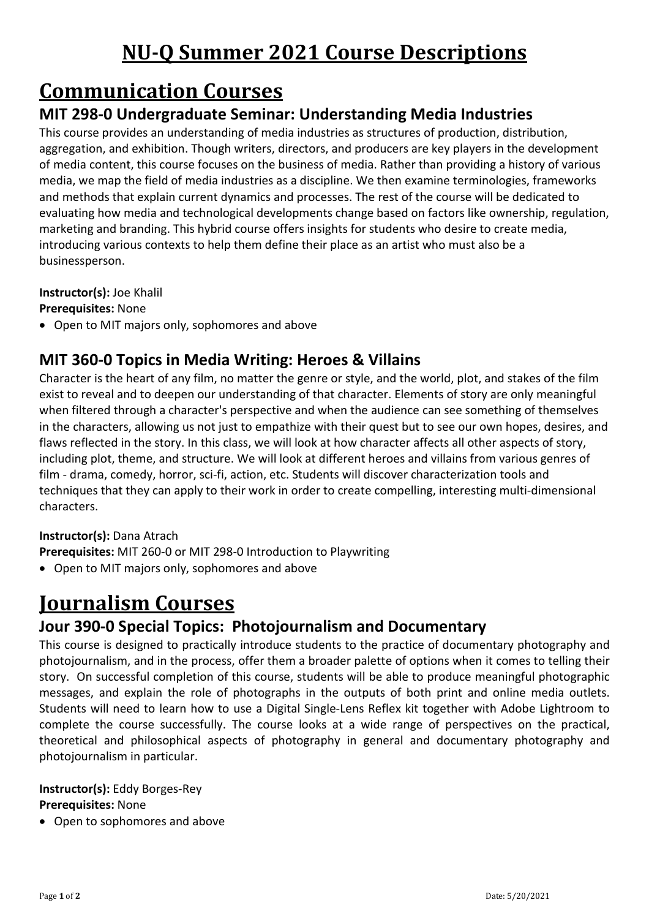# **NU-Q Summer 2021 Course Descriptions**

# **Communication Courses**

## **MIT 298-0 Undergraduate Seminar: Understanding Media Industries**

This course provides an understanding of media industries as structures of production, distribution, aggregation, and exhibition. Though writers, directors, and producers are key players in the development of media content, this course focuses on the business of media. Rather than providing a history of various media, we map the field of media industries as a discipline. We then examine terminologies, frameworks and methods that explain current dynamics and processes. The rest of the course will be dedicated to evaluating how media and technological developments change based on factors like ownership, regulation, marketing and branding. This hybrid course offers insights for students who desire to create media, introducing various contexts to help them define their place as an artist who must also be a businessperson.

#### **Instructor(s):** Joe Khalil

**Prerequisites:** None

• Open to MIT majors only, sophomores and above

### **MIT 360-0 Topics in Media Writing: Heroes & Villains**

Character is the heart of any film, no matter the genre or style, and the world, plot, and stakes of the film exist to reveal and to deepen our understanding of that character. Elements of story are only meaningful when filtered through a character's perspective and when the audience can see something of themselves in the characters, allowing us not just to empathize with their quest but to see our own hopes, desires, and flaws reflected in the story. In this class, we will look at how character affects all other aspects of story, including plot, theme, and structure. We will look at different heroes and villains from various genres of film - drama, comedy, horror, sci-fi, action, etc. Students will discover characterization tools and techniques that they can apply to their work in order to create compelling, interesting multi-dimensional characters.

#### **Instructor(s):** Dana Atrach

- **Prerequisites:** MIT 260-0 or MIT 298-0 Introduction to Playwriting
- Open to MIT majors only, sophomores and above

# **Journalism Courses**

### **Jour 390-0 Special Topics: Photojournalism and Documentary**

This course is designed to practically introduce students to the practice of documentary photography and photojournalism, and in the process, offer them a broader palette of options when it comes to telling their story. On successful completion of this course, students will be able to produce meaningful photographic messages, and explain the role of photographs in the outputs of both print and online media outlets. Students will need to learn how to use a Digital Single-Lens Reflex kit together with Adobe Lightroom to complete the course successfully. The course looks at a wide range of perspectives on the practical, theoretical and philosophical aspects of photography in general and documentary photography and photojournalism in particular.

#### **Instructor(s):** Eddy Borges-Rey **Prerequisites:** None

• Open to sophomores and above